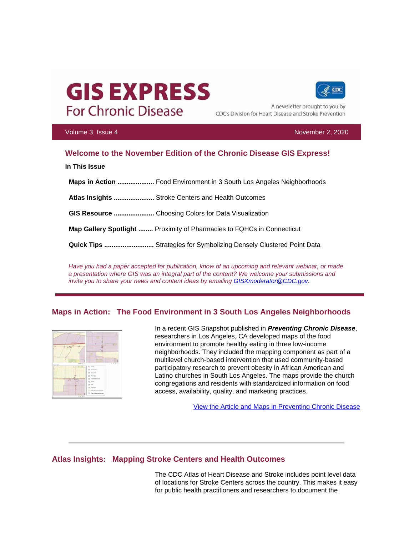# **GIS EXPRESS For Chronic Disease**



A newsletter brought to you by CDC's Division for Heart Disease and Stroke Prevention

Volume 3, Issue 4 November 2, 2020

# **Welcome to the November Edition of the Chronic Disease GIS Express!**

**In This Issue**

 **Maps in Action ....................** Food Environment in 3 South Los Angeles Neighborhoods

 **Atlas Insights ......................** Stroke Centers and Health Outcomes

 **GIS Resource ......................** Choosing Colors for Data Visualization

 **Map Gallery Spotlight ........** Proximity of Pharmacies to FQHCs in Connecticut

 **Quick Tips ...........................** Strategies for Symbolizing Densely Clustered Point Data

*Have you had a paper accepted for publication, know of an upcoming and relevant webinar, or made a presentation where GIS was an integral part of the content? We welcome your submissions and invite you to share your news and content ideas by emailing [GISXmoderator@CDC.gov.](mailto:GISXmoderator@CDC.gov)* 

### **Maps in Action: The Food Environment in 3 South Los Angeles Neighborhoods**



In a recent GIS Snapshot published in *Preventing Chronic Disease*, researchers in Los Angeles, CA developed maps of the food environment to promote healthy eating in three low-income neighborhoods. They included the mapping component as part of a multilevel church-based intervention that used community-based participatory research to prevent obesity in African American and Latino churches in South Los Angeles. The maps provide the church congregations and residents with standardized information on food access, availability, quality, and marketing practices.

[View the Article and Maps in Preventing Chronic Disease](https://t.emailupdates.cdc.gov/r/?id=h33af75e8%2C128d5a59%2C128d620d&ACSTrackingID=FCP_43_USCDC_1384%20DM41638&ACSTrackingLabel=%5BProof%2043%5D%20GIS%20Express%20October%20Edition&s=Jgxf5GEz8nPTZMtWWxyPAYbe_FCDRD9727yKrbMJNDs)

### **Atlas Insights: Mapping Stroke Centers and Health Outcomes**

The CDC Atlas of Heart Disease and Stroke includes point level data of locations for Stroke Centers across the country. This makes it easy for public health practitioners and researchers to document the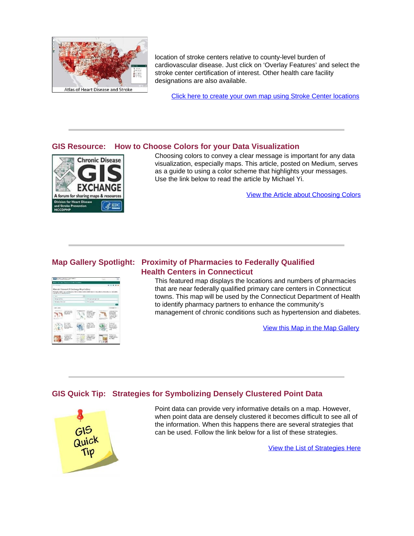

location of stroke centers relative to county-level burden of cardiovascular disease. Just click on 'Overlay Features' and select the stroke center certification of interest. Other health care facility designations are also available.

[Click here to create your own map using Stroke Center locations](https://t.emailupdates.cdc.gov/r/?id=h33af75e8%2C128d5a59%2C128d620e&ACSTrackingID=FCP_43_USCDC_1384%20DM41638&ACSTrackingLabel=%5BProof%2043%5D%20GIS%20Express%20October%20Edition&s=zBy0yBrbIAIllWqFV7WSkkQwOgj0vyhtkRUdEreQ6As) 

### **GIS Resource: How to Choose Colors for your Data Visualization**



Choosing colors to convey a clear message is important for any data visualization, especially maps. This article, posted on Medium, serves as a guide to using a color scheme that highlights your messages. Use the link below to read the article by Michael Yi.

[View the Article about Choosing Colors](https://t.emailupdates.cdc.gov/r/?id=h33af75e8%2C128d5a59%2C128d620f&ACSTrackingID=FCP_43_USCDC_1384%20DM41638&ACSTrackingLabel=%5BProof%2043%5D%20GIS%20Express%20October%20Edition&s=GhcDoTXbdBApqmiBDULvnn8aIA6YzeHh5qDkwEgZVZ4) 

# **Map Gallery Spotlight: Proximity of Pharmacies to Federally Qualified Health Centers in Connecticut**



This featured map displays the locations and numbers of pharmacies that are near federally qualified primary care centers in Connecticut towns. This map will be used by the Connecticut Department of Health to identify pharmacy partners to enhance the community's management of chronic conditions such as hypertension and diabetes.

[View this Map in the Map Gallery](https://t.emailupdates.cdc.gov/r/?id=h33af75e8%2C128d5a59%2C128d6210&ACSTrackingID=FCP_43_USCDC_1384%20DM41638&ACSTrackingLabel=%5BProof%2043%5D%20GIS%20Express%20October%20Edition&s=B34UBp8tttXt2bLlXWeXEVzUTsFHIQuPtzj9TLliGcE)

# **GIS Quick Tip: Strategies for Symbolizing Densely Clustered Point Data**



Point data can provide very informative details on a map. However, when point data are densely clustered it becomes difficult to see all of the information. When this happens there are several strategies that can be used. Follow the link below for a list of these strategies.

[View the List of Strategies Here](https://t.emailupdates.cdc.gov/r/?id=h33af75e8%2C128d5a59%2C128d6211&ACSTrackingID=FCP_43_USCDC_1384%20DM41638&ACSTrackingLabel=%5BProof%2043%5D%20GIS%20Express%20October%20Edition&s=YyRi-477lnOYyJ2a2uFnRTzj4CNYHPd6HkRk7GNo6us)